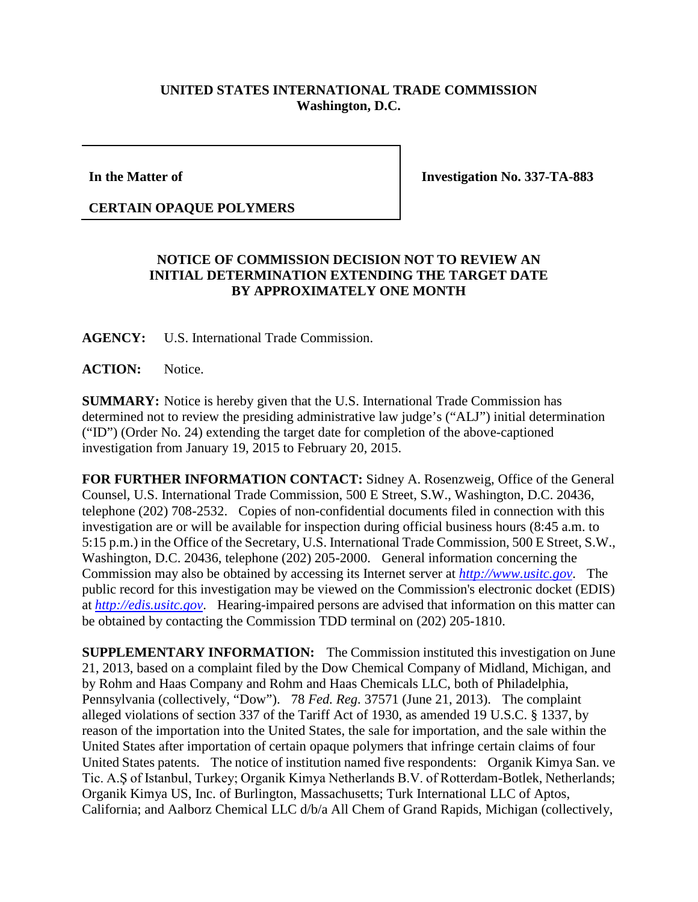## **UNITED STATES INTERNATIONAL TRADE COMMISSION Washington, D.C.**

**In the Matter of**

**Investigation No. 337-TA-883**

## **CERTAIN OPAQUE POLYMERS**

## **NOTICE OF COMMISSION DECISION NOT TO REVIEW AN INITIAL DETERMINATION EXTENDING THE TARGET DATE BY APPROXIMATELY ONE MONTH**

**AGENCY:** U.S. International Trade Commission.

**ACTION:** Notice.

**SUMMARY:** Notice is hereby given that the U.S. International Trade Commission has determined not to review the presiding administrative law judge's ("ALJ") initial determination ("ID") (Order No. 24) extending the target date for completion of the above-captioned investigation from January 19, 2015 to February 20, 2015.

**FOR FURTHER INFORMATION CONTACT:** Sidney A. Rosenzweig, Office of the General Counsel, U.S. International Trade Commission, 500 E Street, S.W., Washington, D.C. 20436, telephone (202) 708-2532. Copies of non-confidential documents filed in connection with this investigation are or will be available for inspection during official business hours (8:45 a.m. to 5:15 p.m.) in the Office of the Secretary, U.S. International Trade Commission, 500 E Street, S.W., Washington, D.C. 20436, telephone (202) 205-2000. General information concerning the Commission may also be obtained by accessing its Internet server at *[http://www.usitc.gov](http://www.usitc.gov/)*. The public record for this investigation may be viewed on the Commission's electronic docket (EDIS) at *[http://edis.usitc.gov](http://edis.usitc.gov/)*. Hearing-impaired persons are advised that information on this matter can be obtained by contacting the Commission TDD terminal on (202) 205-1810.

**SUPPLEMENTARY INFORMATION:** The Commission instituted this investigation on June 21, 2013, based on a complaint filed by the Dow Chemical Company of Midland, Michigan, and by Rohm and Haas Company and Rohm and Haas Chemicals LLC, both of Philadelphia, Pennsylvania (collectively, "Dow"). 78 *Fed. Reg.* 37571 (June 21, 2013). The complaint alleged violations of section 337 of the Tariff Act of 1930, as amended 19 U.S.C. § 1337, by reason of the importation into the United States, the sale for importation, and the sale within the United States after importation of certain opaque polymers that infringe certain claims of four United States patents. The notice of institution named five respondents: Organik Kimya San. ve Tic. A.Ş of Istanbul, Turkey; Organik Kimya Netherlands B.V. of Rotterdam-Botlek, Netherlands; Organik Kimya US, Inc. of Burlington, Massachusetts; Turk International LLC of Aptos, California; and Aalborz Chemical LLC d/b/a All Chem of Grand Rapids, Michigan (collectively,